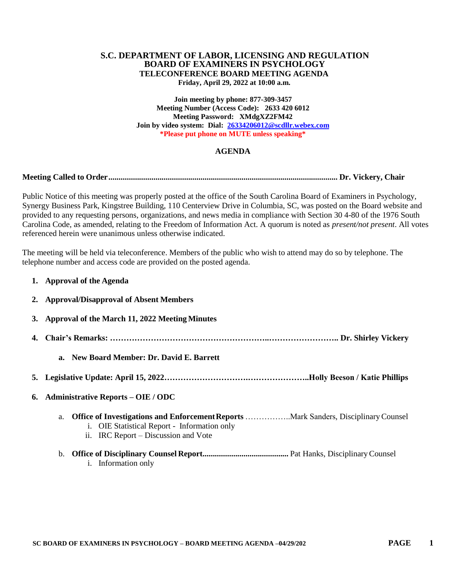# **S.C. DEPARTMENT OF LABOR, LICENSING AND REGULATION BOARD OF EXAMINERS IN PSYCHOLOGY TELECONFERENCE BOARD MEETING AGENDA**

**Friday, April 29, 2022 at 10:00 a.m.**

**Join meeting by phone: 877-309-3457 Meeting Number (Access Code): 2633 420 6012 Meeting Password: XMdgXZ2FM42 Join by video system: Dial: [26334206012@scdllr.webex.com](mailto:26334206012@scdllr.webex.com) \*Please put phone on MUTE unless speaking\***

## **AGENDA**

**Meeting Called to Order................................................................................................................ Dr. Vickery, Chair**

Public Notice of this meeting was properly posted at the office of the South Carolina Board of Examiners in Psychology, Synergy Business Park, Kingstree Building, 110 Centerview Drive in Columbia, SC, was posted on the Board website and provided to any requesting persons, organizations, and news media in compliance with Section 30 4-80 of the 1976 South Carolina Code, as amended, relating to the Freedom of Information Act. A quorum is noted as *present/not present*. All votes referenced herein were unanimous unless otherwise indicated.

The meeting will be held via teleconference. Members of the public who wish to attend may do so by telephone. The telephone number and access code are provided on the posted agenda.

| 1. Approval of the Agenda                                                                  |
|--------------------------------------------------------------------------------------------|
| 2. Approval/Disapproval of Absent Members                                                  |
| 3. Approval of the March 11, 2022 Meeting Minutes                                          |
|                                                                                            |
| a. New Board Member: Dr. David E. Barrett                                                  |
|                                                                                            |
| 6. Administrative Reports – OIE / ODC                                                      |
| a.<br>i. OIE Statistical Report - Information only<br>ii. IRC Report – Discussion and Vote |
|                                                                                            |

i. Information only